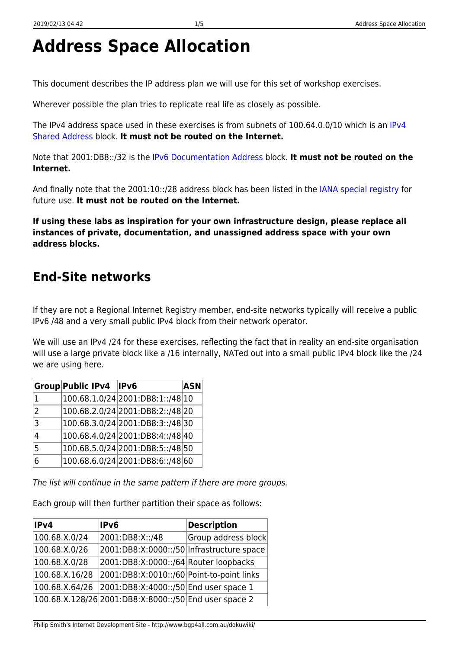# **Address Space Allocation**

This document describes the IP address plan we will use for this set of workshop exercises.

Wherever possible the plan tries to replicate real life as closely as possible.

The IPv4 address space used in these exercises is from subnets of 100.64.0.0/10 which is an [IPv4](https://tools.ietf.org/html/rfc6598) [Shared Address](https://tools.ietf.org/html/rfc6598) block. **It must not be routed on the Internet.**

Note that 2001:DB8::/32 is the [IPv6 Documentation Address](https://tools.ietf.org/html/rfc3849) block. **It must not be routed on the Internet.**

And finally note that the 2001:10::/28 address block has been listed in the [IANA special registry](http://www.iana.org/assignments/iana-ipv6-special-registry/iana-ipv6-special-registry.xhtml) for future use. **It must not be routed on the Internet.**

**If using these labs as inspiration for your own infrastructure design, please replace all instances of private, documentation, and unassigned address space with your own address blocks.**

### **End-Site networks**

If they are not a Regional Internet Registry member, end-site networks typically will receive a public IPv6 /48 and a very small public IPv4 block from their network operator.

We will use an IPv4 /24 for these exercises, reflecting the fact that in reality an end-site organisation will use a large private block like a /16 internally, NATed out into a small public IPv4 block like the /24 we are using here.

|                | <b>Group Public IPv4</b> | $\blacksquare$                   | <b>ASN</b> |
|----------------|--------------------------|----------------------------------|------------|
| $\mathbf{1}$   |                          | 100.68.1.0/24 2001:DB8:1::/48 10 |            |
| $\overline{2}$ |                          | 100.68.2.0/24 2001:DB8:2::/48 20 |            |
| $\overline{3}$ |                          | 100.68.3.0/24 2001:DB8:3::/48 30 |            |
| 4              |                          | 100.68.4.0/24 2001:DB8:4::/48 40 |            |
| 5 <sub>1</sub> |                          | 100.68.5.0/24 2001:DB8:5::/48 50 |            |
| 6              |                          | 100.68.6.0/24 2001:DB8:6::/48 60 |            |

The list will continue in the same pattern if there are more groups.

Each group will then further partition their space as follows:

| IPv4           | IPv6                                                  | <b>Description</b>  |
|----------------|-------------------------------------------------------|---------------------|
| 100.68.X.0/24  | 2001:DB8:X::/48                                       | Group address block |
| 100.68.X.0/26  | 2001:DB8:X:0000::/50 Infrastructure space             |                     |
| 100.68.X.0/28  | 2001:DB8:X:0000::/64 Router loopbacks                 |                     |
| 100.68.X.16/28 | 2001:DB8:X:0010::/60 Point-to-point links             |                     |
| 100.68.X.64/26 | 2001:DB8:X:4000::/50 End user space 1                 |                     |
|                | 100.68.X.128/26 2001:DB8:X:8000::/50 End user space 2 |                     |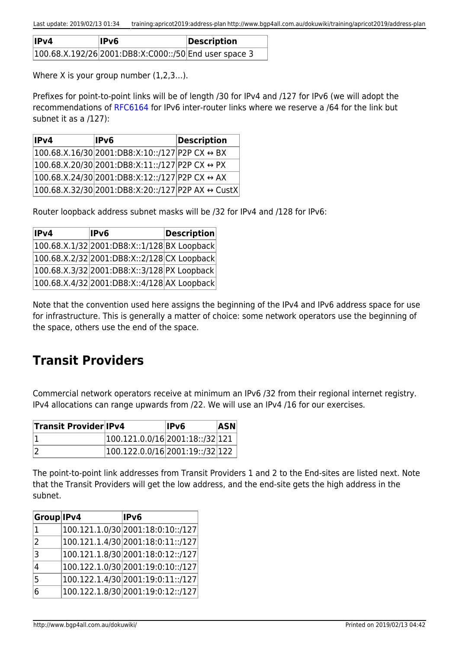| IPv4 | lPv6                                                  | Description |
|------|-------------------------------------------------------|-------------|
|      | 100.68.X.192/26 2001:DB8:X:C000::/50 End user space 3 |             |

Where X is your group number  $(1,2,3...)$ .

Prefixes for point-to-point links will be of length /30 for IPv4 and /127 for IPv6 (we will adopt the recommendations of [RFC6164](https://tools.ietf.org/html/rfc6164) for IPv6 inter-router links where we reserve a /64 for the link but subnet it as a /127):

| IP <sub>v</sub> 4 | IPv6                                                           | <b>Description</b> |
|-------------------|----------------------------------------------------------------|--------------------|
|                   | 100.68.X.16/30 2001:DB8:X:10::/127 P2P CX $\leftrightarrow$ BX |                    |
|                   | 100.68.X.20/30 2001:DB8:X:11::/127 P2P CX ↔ PX                 |                    |
|                   | 100.68.X.24/30 2001:DB8:X:12::/127 P2P CX ↔ AX                 |                    |
|                   | 100.68.X.32/30 2001:DB8:X:20::/127 P2P AX ↔ CustX              |                    |

Router loopback address subnet masks will be /32 for IPv4 and /128 for IPv6:

| IPv4 | IPv6                                            | <b>Description</b> |
|------|-------------------------------------------------|--------------------|
|      | $ 100.68.X.1/32 2001:DB8.X::1/128 BX Loopback $ |                    |
|      | $ 100.68.X.2/32 2001:DB8.X::2/128 CX Loopback $ |                    |
|      | 100.68.X.3/32 2001:DB8:X::3/128 PX Loopback     |                    |
|      | $ 100.68.X.4/32 2001:DB8.X::4/128 AX Loopback $ |                    |

Note that the convention used here assigns the beginning of the IPv4 and IPv6 address space for use for infrastructure. This is generally a matter of choice: some network operators use the beginning of the space, others use the end of the space.

## **Transit Providers**

Commercial network operators receive at minimum an IPv6 /32 from their regional internet registry. IPv4 allocations can range upwards from /22. We will use an IPv4 /16 for our exercises.

| <b>Transit Provider IPv4</b> |                                 | lPv6 | <b>ASN</b> |
|------------------------------|---------------------------------|------|------------|
|                              | 100.121.0.0/16 2001:18::/32 121 |      |            |
|                              | 100.122.0.0/16 2001:19::/32 122 |      |            |

The point-to-point link addresses from Transit Providers 1 and 2 to the End-sites are listed next. Note that the Transit Providers will get the low address, and the end-site gets the high address in the subnet.

| Group IPv4     | IPv6                              |
|----------------|-----------------------------------|
| 1              | 100.121.1.0/30 2001:18:0:10::/127 |
| $\overline{2}$ | 100.121.1.4/30 2001:18:0:11::/127 |
| 3              | 100.121.1.8/30 2001:18:0:12::/127 |
| 4              | 100.122.1.0/30 2001:19:0:10::/127 |
| 5              | 100.122.1.4/30 2001:19:0:11::/127 |
| 6              | 100.122.1.8/30 2001:19:0:12::/127 |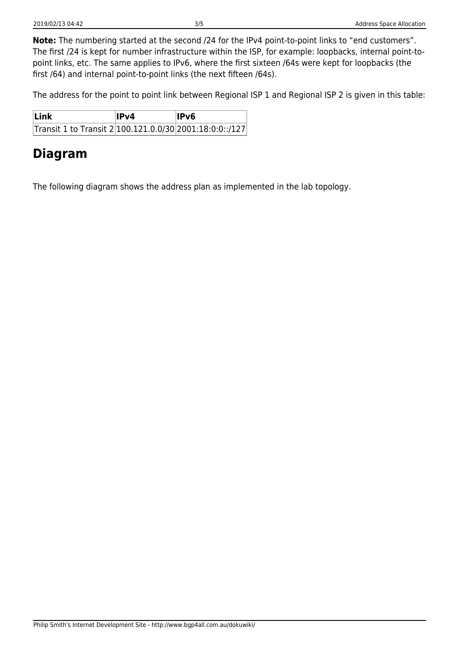**Note:** The numbering started at the second /24 for the IPv4 point-to-point links to "end customers". The first /24 is kept for number infrastructure within the ISP, for example: loopbacks, internal point-topoint links, etc. The same applies to IPv6, where the first sixteen /64s were kept for loopbacks (the first /64) and internal point-to-point links (the next fifteen /64s).

The address for the point to point link between Regional ISP 1 and Regional ISP 2 is given in this table:

| Link                                                     | IPv4 | IPv6 |
|----------------------------------------------------------|------|------|
| Transit 1 to Transit 2 100.121.0.0/30 2001:18:0:0:: /127 |      |      |

### **Diagram**

The following diagram shows the address plan as implemented in the lab topology.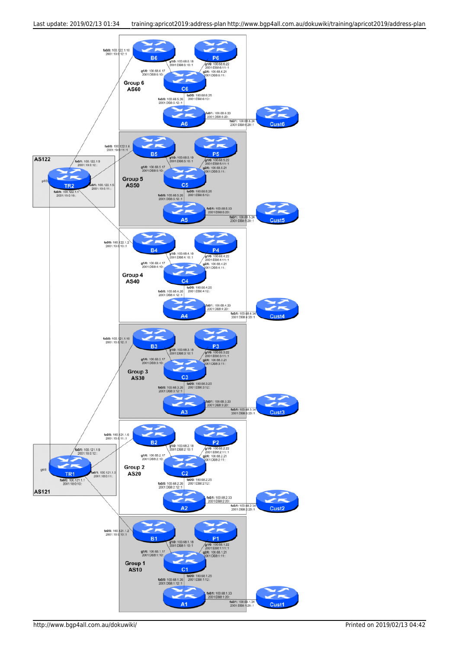